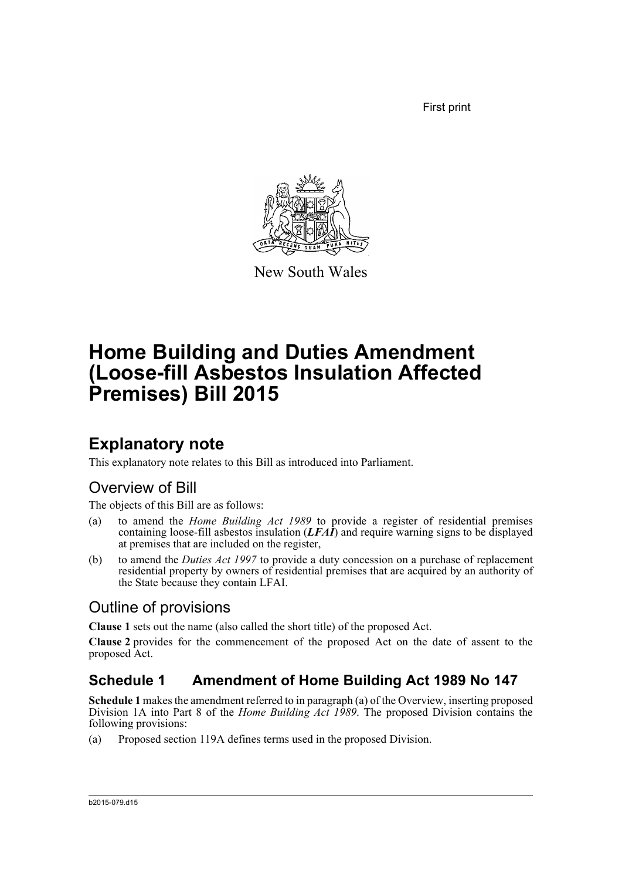First print



New South Wales

# **Home Building and Duties Amendment (Loose-fill Asbestos Insulation Affected Premises) Bill 2015**

## **Explanatory note**

This explanatory note relates to this Bill as introduced into Parliament.

## Overview of Bill

The objects of this Bill are as follows:

- (a) to amend the *Home Building Act 1989* to provide a register of residential premises containing loose-fill asbestos insulation (*LFAI*) and require warning signs to be displayed at premises that are included on the register,
- (b) to amend the *Duties Act 1997* to provide a duty concession on a purchase of replacement residential property by owners of residential premises that are acquired by an authority of the State because they contain LFAI.

## Outline of provisions

**Clause 1** sets out the name (also called the short title) of the proposed Act.

**Clause 2** provides for the commencement of the proposed Act on the date of assent to the proposed Act.

### **Schedule 1 Amendment of Home Building Act 1989 No 147**

**Schedule 1** makes the amendment referred to in paragraph (a) of the Overview, inserting proposed Division 1A into Part 8 of the *Home Building Act 1989*. The proposed Division contains the following provisions:

(a) Proposed section 119A defines terms used in the proposed Division.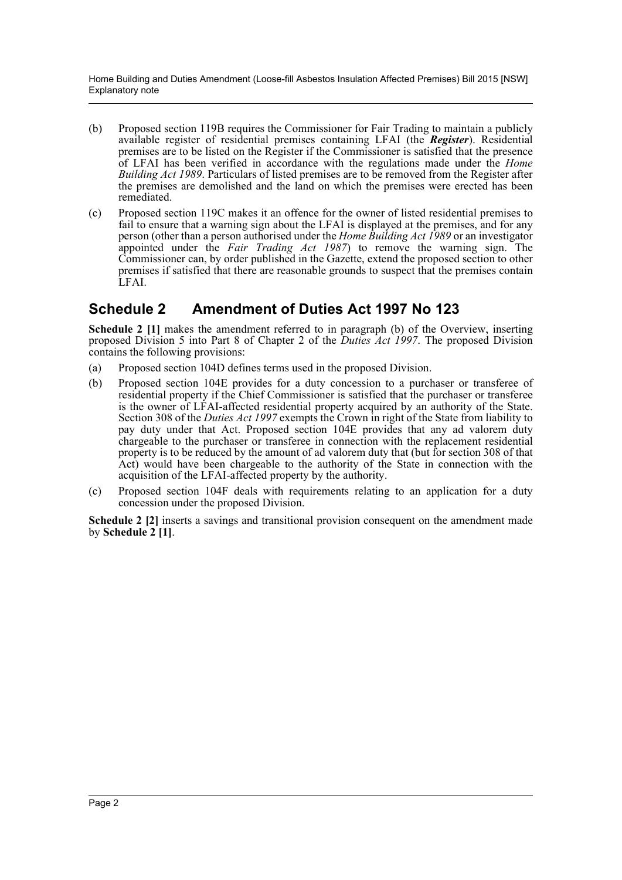Home Building and Duties Amendment (Loose-fill Asbestos Insulation Affected Premises) Bill 2015 [NSW] Explanatory note

- (b) Proposed section 119B requires the Commissioner for Fair Trading to maintain a publicly available register of residential premises containing LFAI (the *Register*). Residential premises are to be listed on the Register if the Commissioner is satisfied that the presence of LFAI has been verified in accordance with the regulations made under the *Home Building Act 1989*. Particulars of listed premises are to be removed from the Register after the premises are demolished and the land on which the premises were erected has been remediated.
- (c) Proposed section 119C makes it an offence for the owner of listed residential premises to fail to ensure that a warning sign about the LFAI is displayed at the premises, and for any person (other than a person authorised under the *Home Building Act 1989* or an investigator appointed under the *Fair Trading Act 1987*) to remove the warning sign. The Commissioner can, by order published in the Gazette, extend the proposed section to other premises if satisfied that there are reasonable grounds to suspect that the premises contain LFAI.

### **Schedule 2 Amendment of Duties Act 1997 No 123**

**Schedule 2** [1] makes the amendment referred to in paragraph (b) of the Overview, inserting proposed Division 5 into Part 8 of Chapter 2 of the *Duties Act 1997*. The proposed Division contains the following provisions:

- (a) Proposed section 104D defines terms used in the proposed Division.
- (b) Proposed section 104E provides for a duty concession to a purchaser or transferee of residential property if the Chief Commissioner is satisfied that the purchaser or transferee is the owner of LFAI-affected residential property acquired by an authority of the State. Section 308 of the *Duties Act 1997* exempts the Crown in right of the State from liability to pay duty under that Act. Proposed section 104E provides that any ad valorem duty chargeable to the purchaser or transferee in connection with the replacement residential property is to be reduced by the amount of ad valorem duty that (but for section 308 of that Act) would have been chargeable to the authority of the State in connection with the acquisition of the LFAI-affected property by the authority.
- (c) Proposed section 104F deals with requirements relating to an application for a duty concession under the proposed Division.

**Schedule 2 [2]** inserts a savings and transitional provision consequent on the amendment made by **Schedule 2 [1]**.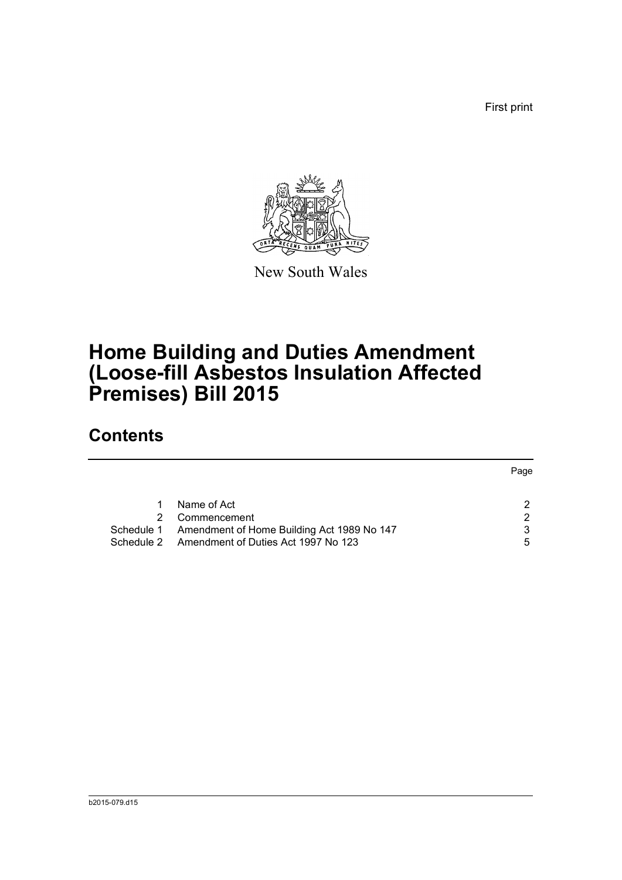First print



New South Wales

# **Home Building and Duties Amendment (Loose-fill Asbestos Insulation Affected Premises) Bill 2015**

## **Contents**

|                                                       | Page |
|-------------------------------------------------------|------|
|                                                       |      |
| Name of Act                                           |      |
| Commencement                                          | 2    |
| Schedule 1 Amendment of Home Building Act 1989 No 147 | 3    |
| Schedule 2 Amendment of Duties Act 1997 No 123        | 5    |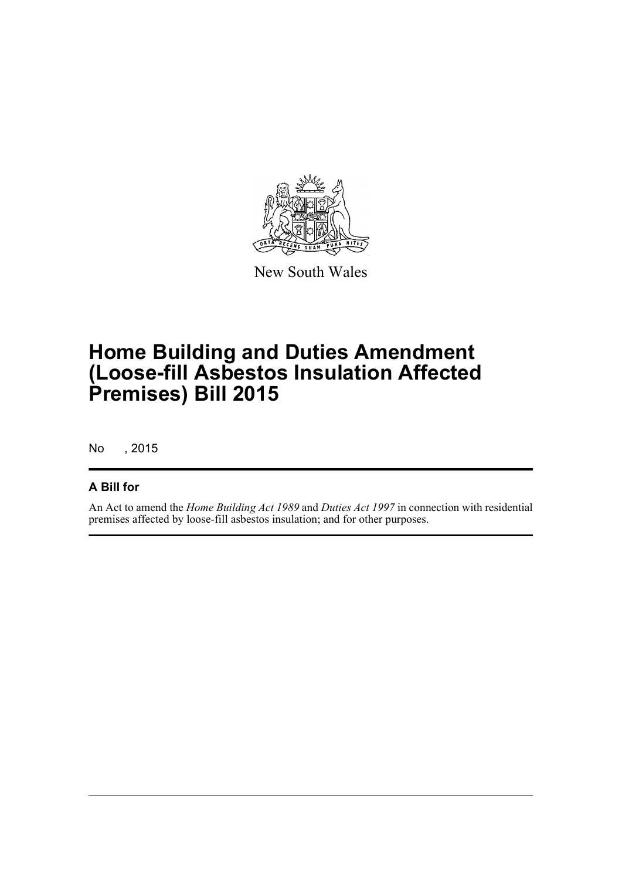

New South Wales

# **Home Building and Duties Amendment (Loose-fill Asbestos Insulation Affected Premises) Bill 2015**

No , 2015

### **A Bill for**

An Act to amend the *Home Building Act 1989* and *Duties Act 1997* in connection with residential premises affected by loose-fill asbestos insulation; and for other purposes.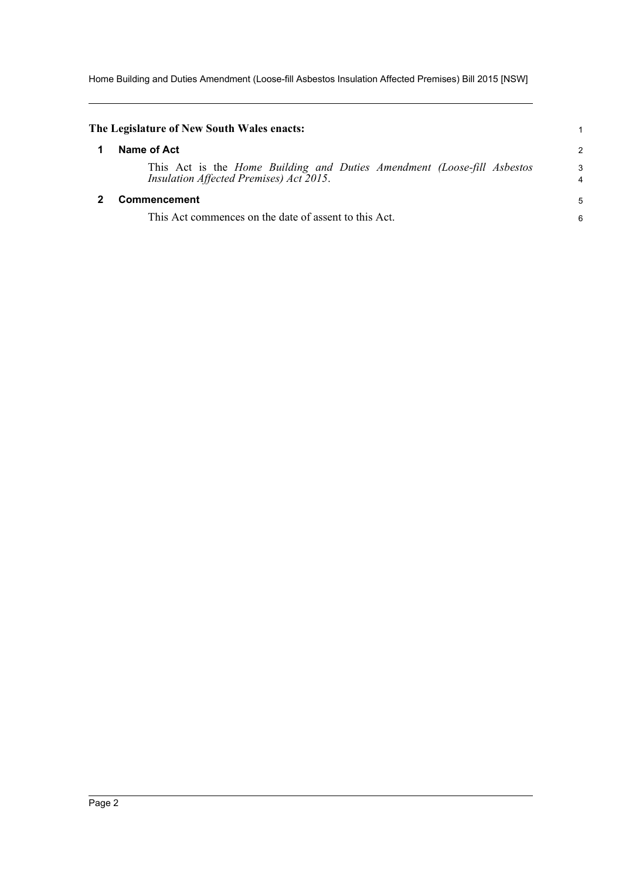Home Building and Duties Amendment (Loose-fill Asbestos Insulation Affected Premises) Bill 2015 [NSW]

<span id="page-4-1"></span><span id="page-4-0"></span>

| The Legislature of New South Wales enacts:                                                                                |                |
|---------------------------------------------------------------------------------------------------------------------------|----------------|
| Name of Act                                                                                                               | $\overline{c}$ |
| This Act is the <i>Home Building and Duties Amendment (Loose-fill Asbestos</i><br>Insulation Affected Premises) Act 2015. | 3<br>4         |
| <b>Commencement</b>                                                                                                       |                |
| This Act commences on the date of assent to this Act.                                                                     | 6              |
|                                                                                                                           |                |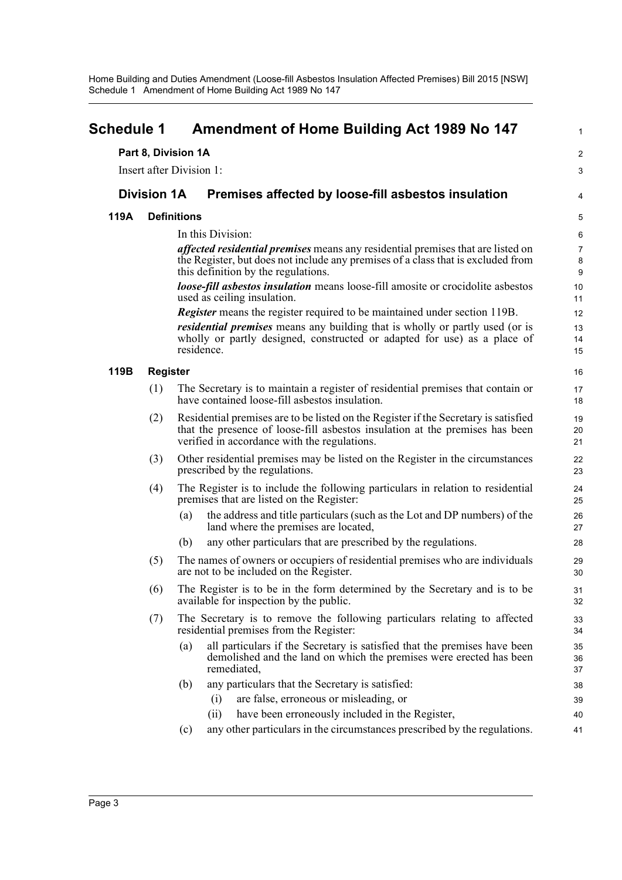Home Building and Duties Amendment (Loose-fill Asbestos Insulation Affected Premises) Bill 2015 [NSW] Schedule 1 Amendment of Home Building Act 1989 No 147

<span id="page-5-0"></span>

| <b>Amendment of Home Building Act 1989 No 147</b><br><b>Schedule 1</b> |                                                                                                                                                                                                                            |                                                                                                                                                                               | $\mathbf{1}$                                  |  |  |
|------------------------------------------------------------------------|----------------------------------------------------------------------------------------------------------------------------------------------------------------------------------------------------------------------------|-------------------------------------------------------------------------------------------------------------------------------------------------------------------------------|-----------------------------------------------|--|--|
|                                                                        |                                                                                                                                                                                                                            | Part 8, Division 1A                                                                                                                                                           | 2                                             |  |  |
|                                                                        |                                                                                                                                                                                                                            | Insert after Division 1:                                                                                                                                                      | 3                                             |  |  |
|                                                                        | <b>Division 1A</b>                                                                                                                                                                                                         | Premises affected by loose-fill asbestos insulation                                                                                                                           | 4                                             |  |  |
| 119A                                                                   | <b>Definitions</b>                                                                                                                                                                                                         |                                                                                                                                                                               |                                               |  |  |
|                                                                        |                                                                                                                                                                                                                            | In this Division:                                                                                                                                                             | 5<br>$\,6\,$                                  |  |  |
|                                                                        |                                                                                                                                                                                                                            | <i>affected residential premises</i> means any residential premises that are listed on                                                                                        |                                               |  |  |
|                                                                        |                                                                                                                                                                                                                            | the Register, but does not include any premises of a class that is excluded from<br>this definition by the regulations.                                                       | $\overline{7}$<br>$\bf 8$<br>$\boldsymbol{9}$ |  |  |
|                                                                        |                                                                                                                                                                                                                            | <b>loose-fill asbestos insulation</b> means loose-fill amosite or crocidolite asbestos<br>used as ceiling insulation.                                                         | 10<br>11                                      |  |  |
|                                                                        |                                                                                                                                                                                                                            | <b>Register</b> means the register required to be maintained under section 119B.                                                                                              | 12                                            |  |  |
|                                                                        |                                                                                                                                                                                                                            | <i>residential premises</i> means any building that is wholly or partly used (or is<br>wholly or partly designed, constructed or adapted for use) as a place of<br>residence. | 13<br>14<br>15                                |  |  |
| 119B                                                                   | <b>Register</b>                                                                                                                                                                                                            |                                                                                                                                                                               |                                               |  |  |
|                                                                        | (1)                                                                                                                                                                                                                        | The Secretary is to maintain a register of residential premises that contain or<br>have contained loose-fill asbestos insulation.                                             | 17<br>18                                      |  |  |
|                                                                        | Residential premises are to be listed on the Register if the Secretary is satisfied<br>(2)<br>that the presence of loose-fill asbestos insulation at the premises has been<br>verified in accordance with the regulations. |                                                                                                                                                                               | 19<br>20<br>21                                |  |  |
|                                                                        | (3)                                                                                                                                                                                                                        | Other residential premises may be listed on the Register in the circumstances<br>prescribed by the regulations.                                                               | 22<br>23                                      |  |  |
|                                                                        | The Register is to include the following particulars in relation to residential<br>(4)<br>premises that are listed on the Register:                                                                                        |                                                                                                                                                                               | 24<br>25                                      |  |  |
|                                                                        |                                                                                                                                                                                                                            | the address and title particulars (such as the Lot and DP numbers) of the<br>(a)<br>land where the premises are located,                                                      | 26<br>27                                      |  |  |
|                                                                        |                                                                                                                                                                                                                            | any other particulars that are prescribed by the regulations.<br>(b)                                                                                                          | 28                                            |  |  |
|                                                                        | (5)                                                                                                                                                                                                                        | The names of owners or occupiers of residential premises who are individuals<br>are not to be included on the Register.                                                       | 29<br>30                                      |  |  |
|                                                                        | (6)                                                                                                                                                                                                                        | The Register is to be in the form determined by the Secretary and is to be<br>available for inspection by the public.                                                         | 31<br>32                                      |  |  |
|                                                                        | (7)                                                                                                                                                                                                                        | The Secretary is to remove the following particulars relating to affected<br>residential premises from the Register:                                                          | 33<br>34                                      |  |  |
|                                                                        |                                                                                                                                                                                                                            | all particulars if the Secretary is satisfied that the premises have been<br>(a)<br>demolished and the land on which the premises were erected has been<br>remediated,        | 35<br>36<br>37                                |  |  |
|                                                                        |                                                                                                                                                                                                                            | any particulars that the Secretary is satisfied:<br>(b)                                                                                                                       | 38                                            |  |  |
|                                                                        |                                                                                                                                                                                                                            | are false, erroneous or misleading, or<br>(i)                                                                                                                                 | 39                                            |  |  |
|                                                                        |                                                                                                                                                                                                                            | have been erroneously included in the Register,<br>(ii)                                                                                                                       | 40                                            |  |  |
|                                                                        |                                                                                                                                                                                                                            | any other particulars in the circumstances prescribed by the regulations.<br>(c)                                                                                              | 41                                            |  |  |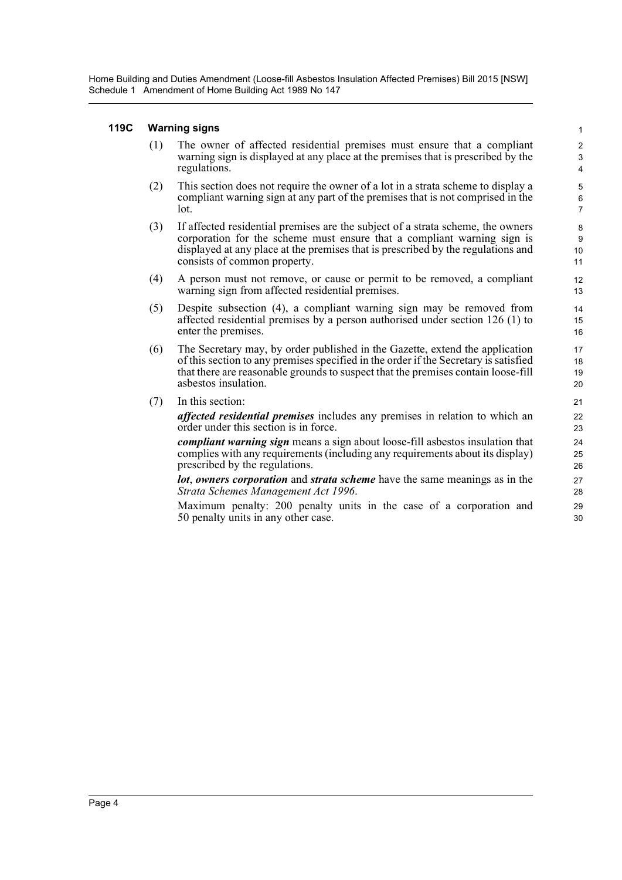Home Building and Duties Amendment (Loose-fill Asbestos Insulation Affected Premises) Bill 2015 [NSW] Schedule 1 Amendment of Home Building Act 1989 No 147

#### **119C Warning signs**

(1) The owner of affected residential premises must ensure that a compliant warning sign is displayed at any place at the premises that is prescribed by the regulations.

- (2) This section does not require the owner of a lot in a strata scheme to display a compliant warning sign at any part of the premises that is not comprised in the lot.
- (3) If affected residential premises are the subject of a strata scheme, the owners corporation for the scheme must ensure that a compliant warning sign is displayed at any place at the premises that is prescribed by the regulations and consists of common property.
- (4) A person must not remove, or cause or permit to be removed, a compliant warning sign from affected residential premises.
- (5) Despite subsection (4), a compliant warning sign may be removed from affected residential premises by a person authorised under section 126 (1) to enter the premises.
- (6) The Secretary may, by order published in the Gazette, extend the application of this section to any premises specified in the order if the Secretary is satisfied that there are reasonable grounds to suspect that the premises contain loose-fill asbestos insulation.
- (7) In this section:

*affected residential premises* includes any premises in relation to which an order under this section is in force.

*compliant warning sign* means a sign about loose-fill asbestos insulation that complies with any requirements (including any requirements about its display) prescribed by the regulations.

*lot*, *owners corporation* and *strata scheme* have the same meanings as in the *Strata Schemes Management Act 1996*.

Maximum penalty: 200 penalty units in the case of a corporation and 50 penalty units in any other case.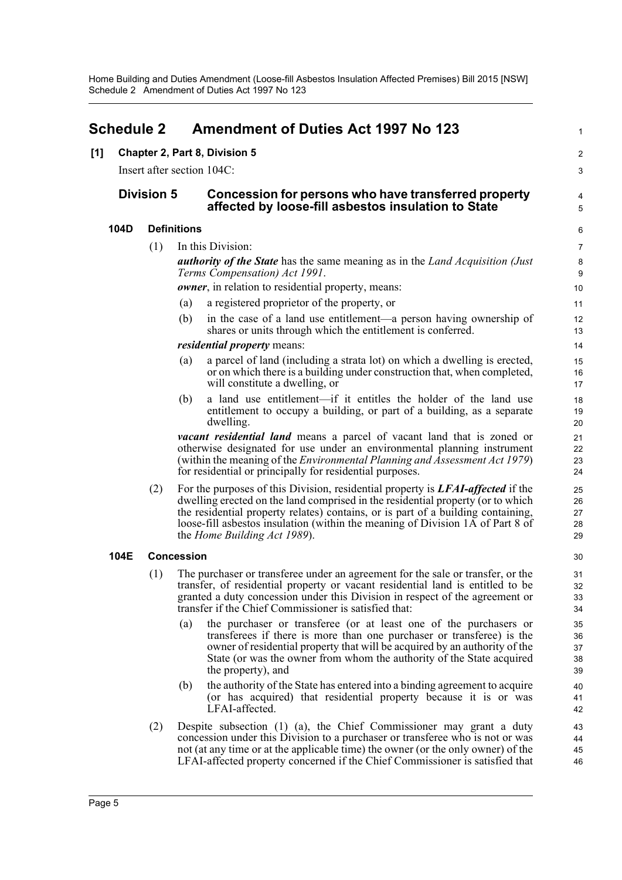<span id="page-7-0"></span>

|     | <b>Schedule 2</b> |                            |                    | <b>Amendment of Duties Act 1997 No 123</b>                                                                                                                                                                                                                                                                                                                                              | $\mathbf{1}$               |  |
|-----|-------------------|----------------------------|--------------------|-----------------------------------------------------------------------------------------------------------------------------------------------------------------------------------------------------------------------------------------------------------------------------------------------------------------------------------------------------------------------------------------|----------------------------|--|
| [1] |                   |                            |                    | Chapter 2, Part 8, Division 5                                                                                                                                                                                                                                                                                                                                                           | $\overline{\mathbf{c}}$    |  |
|     |                   | Insert after section 104C: |                    |                                                                                                                                                                                                                                                                                                                                                                                         |                            |  |
|     | <b>Division 5</b> |                            |                    | Concession for persons who have transferred property<br>affected by loose-fill asbestos insulation to State                                                                                                                                                                                                                                                                             | 4<br>5                     |  |
|     | 104D              |                            | <b>Definitions</b> |                                                                                                                                                                                                                                                                                                                                                                                         | 6                          |  |
|     |                   | (1)                        |                    | In this Division:                                                                                                                                                                                                                                                                                                                                                                       | $\overline{7}$             |  |
|     |                   |                            |                    | <b>authority of the State</b> has the same meaning as in the <i>Land Acquisition (Just</i> )<br>Terms Compensation) Act 1991.                                                                                                                                                                                                                                                           | $\bf 8$<br>9               |  |
|     |                   |                            |                    | <i>owner</i> , in relation to residential property, means:                                                                                                                                                                                                                                                                                                                              | 10                         |  |
|     |                   |                            | (a)                | a registered proprietor of the property, or                                                                                                                                                                                                                                                                                                                                             | 11                         |  |
|     |                   |                            | (b)                | in the case of a land use entitlement—a person having ownership of<br>shares or units through which the entitlement is conferred.                                                                                                                                                                                                                                                       | 12<br>13                   |  |
|     |                   |                            |                    | <i>residential property means:</i>                                                                                                                                                                                                                                                                                                                                                      | 14                         |  |
|     |                   |                            | (a)                | a parcel of land (including a strata lot) on which a dwelling is erected,<br>or on which there is a building under construction that, when completed,<br>will constitute a dwelling, or                                                                                                                                                                                                 | 15<br>16<br>17             |  |
|     |                   |                            | (b)                | a land use entitlement—if it entitles the holder of the land use<br>entitlement to occupy a building, or part of a building, as a separate<br>dwelling.                                                                                                                                                                                                                                 | 18<br>19<br>20             |  |
|     |                   |                            |                    | vacant residential land means a parcel of vacant land that is zoned or<br>otherwise designated for use under an environmental planning instrument<br>(within the meaning of the <i>Environmental Planning and Assessment Act 1979</i> )<br>for residential or principally for residential purposes.                                                                                     | 21<br>22<br>23<br>24       |  |
|     |                   | (2)                        |                    | For the purposes of this Division, residential property is <b>LFAI-affected</b> if the<br>dwelling erected on the land comprised in the residential property (or to which<br>the residential property relates) contains, or is part of a building containing,<br>loose-fill asbestos insulation (within the meaning of Division 1A of Part 8 of<br>the <i>Home Building Act 1989</i> ). | 25<br>26<br>27<br>28<br>29 |  |
|     | 104E              |                            | <b>Concession</b>  |                                                                                                                                                                                                                                                                                                                                                                                         | 30                         |  |
|     |                   | (1)                        |                    | The purchaser or transferee under an agreement for the sale or transfer, or the<br>transfer, of residential property or vacant residential land is entitled to be<br>granted a duty concession under this Division in respect of the agreement or<br>transfer if the Chief Commissioner is satisfied that:                                                                              | 31<br>32<br>33<br>34       |  |
|     |                   |                            | (a)                | the purchaser or transferee (or at least one of the purchasers or<br>transferees if there is more than one purchaser or transferee) is the<br>owner of residential property that will be acquired by an authority of the<br>State (or was the owner from whom the authority of the State acquired<br>the property), and                                                                 | 35<br>36<br>37<br>38<br>39 |  |
|     |                   |                            | (b)                | the authority of the State has entered into a binding agreement to acquire<br>(or has acquired) that residential property because it is or was<br>LFAI-affected.                                                                                                                                                                                                                        | 40<br>41<br>42             |  |
|     |                   | (2)                        |                    | Despite subsection (1) (a), the Chief Commissioner may grant a duty<br>concession under this Division to a purchaser or transferee who is not or was<br>not (at any time or at the applicable time) the owner (or the only owner) of the<br>LFAI-affected property concerned if the Chief Commissioner is satisfied that                                                                | 43<br>44<br>45<br>46       |  |